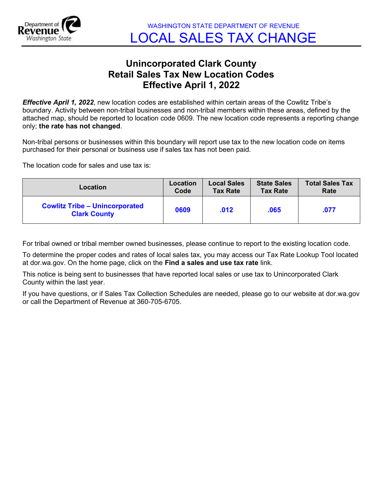

## Unincorporated Clark County Retail Sales Tax New Location Codes Effective April 1, 2022

**Effective April 1, 2022**, new location codes are established within certain areas of the Cowlitz Tribe's boundary. Activity between non-tribal businesses and non-tribal members within these areas, defined by the attached map, should be reported to location code 0609. The new location code represents a reporting change only; the rate has not changed.

Non-tribal persons or businesses within this boundary will report use tax to the new location code on items purchased for their personal or business use if sales tax has not been paid.

The location code for sales and use tax is:

| Location                                                     | Location | <b>Local Sales</b> | <b>State Sales</b> | <b>Total Sales Tax</b> |
|--------------------------------------------------------------|----------|--------------------|--------------------|------------------------|
|                                                              | Code     | <b>Tax Rate</b>    | <b>Tax Rate</b>    | Rate                   |
| <b>Cowlitz Tribe - Unincorporated</b><br><b>Clark County</b> | 0609     | .012               | .065               | .077                   |

For tribal owned or tribal member owned businesses, please continue to report to the existing location code.

To determine the proper codes and rates of local sales tax, you may access our Tax Rate Lookup Tool located at dor.wa.gov. On the home page, click on the Find a sales and use tax rate link.

This notice is being sent to businesses that have reported local sales or use tax to Unincorporated Clark County within the last year.

If you have questions, or if Sales Tax Collection Schedules are needed, please go to our website at dor.wa.gov or call the Department of Revenue at 360-705-6705.